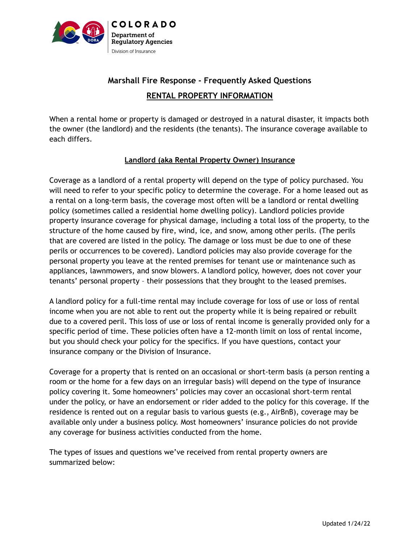

# **Marshall Fire Response - Frequently Asked Questions RENTAL PROPERTY INFORMATION**

When a rental home or property is damaged or destroyed in a natural disaster, it impacts both the owner (the landlord) and the residents (the tenants). The insurance coverage available to each differs.

### **Landlord (aka Rental Property Owner) Insurance**

Coverage as a landlord of a rental property will depend on the type of policy purchased. You will need to refer to your specific policy to determine the coverage. For a home leased out as a rental on a long-term basis, the coverage most often will be a landlord or rental dwelling policy (sometimes called a residential home dwelling policy). Landlord policies provide property insurance coverage for physical damage, including a total loss of the property, to the structure of the home caused by fire, wind, ice, and snow, among other perils. (The perils that are covered are listed in the policy. The damage or loss must be due to one of these perils or occurrences to be covered). Landlord policies may also provide coverage for the personal property you leave at the rented premises for tenant use or maintenance such as appliances, lawnmowers, and snow blowers. A landlord policy, however, does not cover your tenants' personal property – their possessions that they brought to the leased premises.

A landlord policy for a full-time rental may include coverage for loss of use or loss of rental income when you are not able to rent out the property while it is being repaired or rebuilt due to a covered peril. This loss of use or loss of rental income is generally provided only for a specific period of time. These policies often have a 12-month limit on loss of rental income, but you should check your policy for the specifics. If you have questions, contact your insurance company or the Division of Insurance.

Coverage for a property that is rented on an occasional or short-term basis (a person renting a room or the home for a few days on an irregular basis) will depend on the type of insurance policy covering it. Some homeowners' policies may cover an occasional short-term rental under the policy, or have an endorsement or rider added to the policy for this coverage. If the residence is rented out on a regular basis to various guests (e.g., AirBnB), coverage may be available only under a business policy. Most homeowners' insurance policies do not provide any coverage for business activities conducted from the home.

The types of issues and questions we've received from rental property owners are summarized below: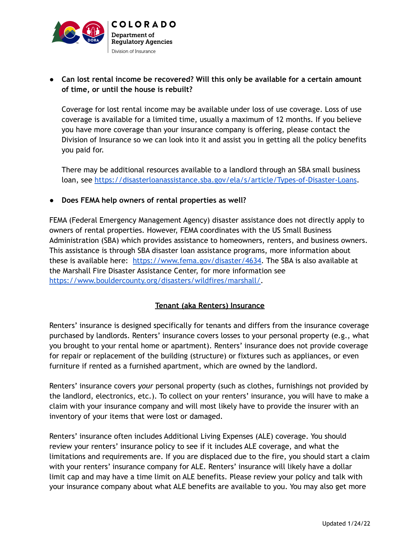

## **● Can lost rental income be recovered? Will this only be available for a certain amount of time, or until the house is rebuilt?**

Coverage for lost rental income may be available under loss of use coverage. Loss of use coverage is available for a limited time, usually a maximum of 12 months. If you believe you have more coverage than your insurance company is offering, please contact the Division of Insurance so we can look into it and assist you in getting all the policy benefits you paid for.

There may be additional resources available to a landlord through an SBA small business loan, see <https://disasterloanassistance.sba.gov/ela/s/article/Types-of-Disaster-Loans>.

### **● Does FEMA help owners of rental properties as well?**

FEMA (Federal Emergency Management Agency) disaster assistance does not directly apply to owners of rental properties. However, FEMA coordinates with the US Small Business Administration (SBA) which provides assistance to homeowners, renters, and business owners. This assistance is through SBA disaster loan assistance programs, more information about these is available here: [https://www.fema.gov/disaster/4634.](https://www.fema.gov/disaster/4634) The SBA is also available at the Marshall Fire Disaster Assistance Center, for more information see [https://www.bouldercounty.org/disasters/wildfires/marshall/.](https://www.bouldercounty.org/disasters/wildfires/marshall/)

## **Tenant (aka Renters) Insurance**

Renters' insurance is designed specifically for tenants and differs from the insurance coverage purchased by landlords. Renters' insurance covers losses to your personal property (e.g., what you brought to your rental home or apartment). Renters' insurance does not provide coverage for repair or replacement of the building (structure) or fixtures such as appliances, or even furniture if rented as a furnished apartment, which are owned by the landlord.

Renters' insurance covers *your* personal property (such as clothes, furnishings not provided by the landlord, electronics, etc.). To collect on your renters' insurance, you will have to make a claim with your insurance company and will most likely have to provide the insurer with an inventory of your items that were lost or damaged.

Renters' insurance often includes Additional Living Expenses (ALE) coverage. You should review your renters' insurance policy to see if it includes ALE coverage, and what the limitations and requirements are. If you are displaced due to the fire, you should start a claim with your renters' insurance company for ALE. Renters' insurance will likely have a dollar limit cap and may have a time limit on ALE benefits. Please review your policy and talk with your insurance company about what ALE benefits are available to you. You may also get more